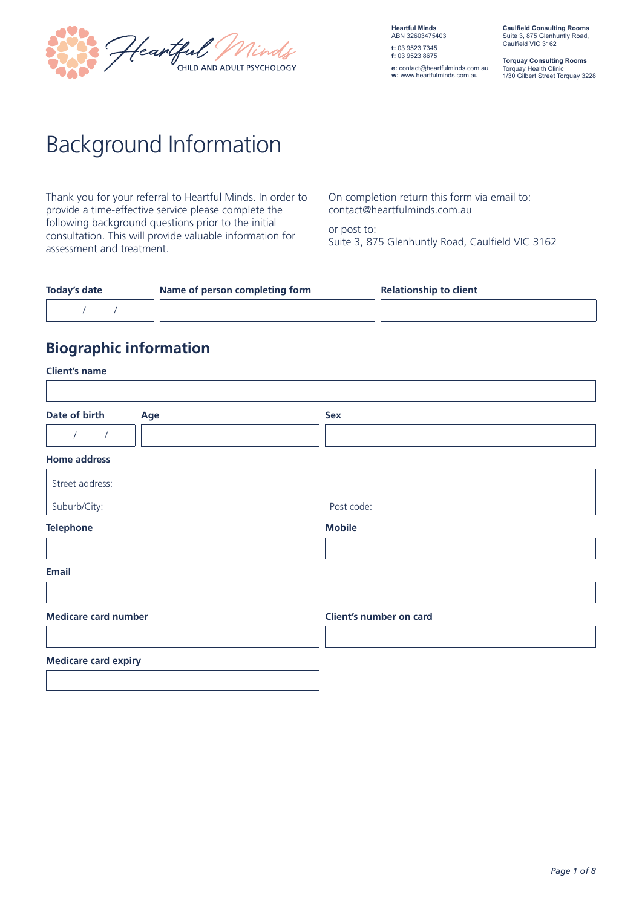

**Heartful Minds** ABN 32603475403 **t:** 03 9523 7345 **f:** 03 9523 8675 **e:** contact@heartfulminds.com.au

**w:** www.heartfulminds.com.au

**Caulfield Consulting Rooms** Suite 3, 875 Glenhuntly Road, Caulfield VIC 3162

**Torquay Consulting Rooms** Torquay Health Clinic 1/30 Gilbert Street Torquay 3228

# Background Information

Thank you for your referral to Heartful Minds. In order to provide a time-effective service please complete the following background questions prior to the initial consultation. This will provide valuable information for assessment and treatment.

On completion return this form via email to: contact@heartfulminds.com.au

or post to: Suite 3, 875 Glenhuntly Road, Caulfield VIC 3162

| <b>Today's date</b> | Name of person completing form | <b>Relationship to client</b> |
|---------------------|--------------------------------|-------------------------------|
|                     |                                |                               |

### **Biographic information**

| <b>Client's name</b>        |     |                         |
|-----------------------------|-----|-------------------------|
|                             |     |                         |
| Date of birth               | Age | Sex                     |
| $\sqrt{2}$<br>$\prime$      |     |                         |
| <b>Home address</b>         |     |                         |
| Street address:             |     |                         |
| Suburb/City:                |     | Post code:              |
| <b>Telephone</b>            |     | <b>Mobile</b>           |
|                             |     |                         |
| <b>Email</b>                |     |                         |
|                             |     |                         |
| <b>Medicare card number</b> |     | Client's number on card |
|                             |     |                         |
| <b>Medicare card expiry</b> |     |                         |
|                             |     |                         |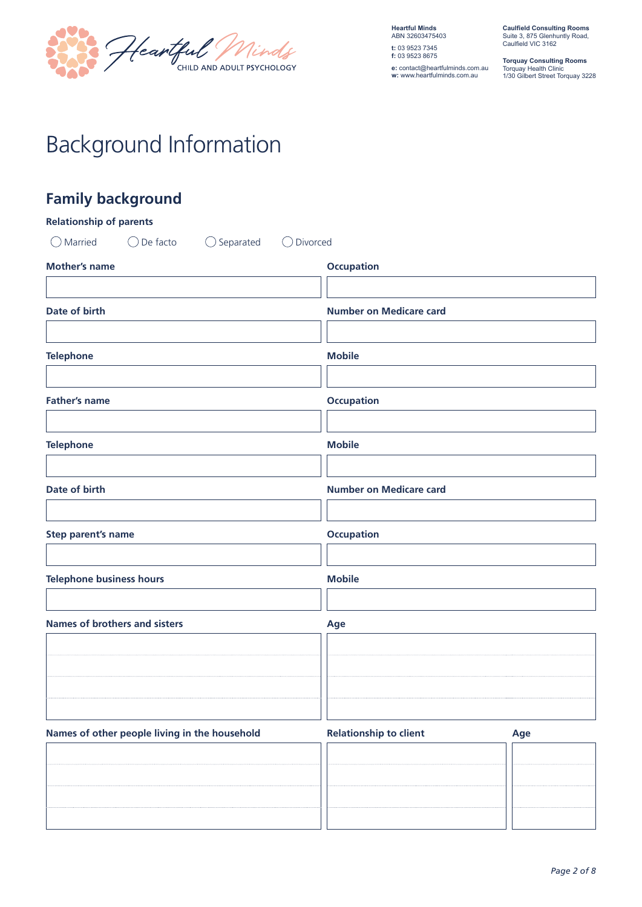

**e:** contact@heartfulminds.com.au **w:** www.heartfulminds.com.au

**Caulfield Consulting Rooms** Suite 3, 875 Glenhuntly Road, Caulfield VIC 3162

**Torquay Consulting Rooms** Torquay Health Clinic 1/30 Gilbert Street Torquay 3228

# Background Information

## **Family background**

| <b>Relationship of parents</b>                                    |                                |     |
|-------------------------------------------------------------------|--------------------------------|-----|
| $\bigcirc$ Married<br>$\bigcirc$ De facto<br>$\bigcirc$ Separated | ◯ Divorced                     |     |
| <b>Mother's name</b>                                              | <b>Occupation</b>              |     |
|                                                                   |                                |     |
| Date of birth                                                     | <b>Number on Medicare card</b> |     |
|                                                                   |                                |     |
| <b>Telephone</b>                                                  | <b>Mobile</b>                  |     |
|                                                                   |                                |     |
| <b>Father's name</b>                                              | <b>Occupation</b>              |     |
|                                                                   |                                |     |
| <b>Telephone</b>                                                  | <b>Mobile</b>                  |     |
|                                                                   |                                |     |
| Date of birth                                                     | <b>Number on Medicare card</b> |     |
|                                                                   |                                |     |
| Step parent's name                                                | <b>Occupation</b>              |     |
|                                                                   |                                |     |
| <b>Telephone business hours</b>                                   | <b>Mobile</b>                  |     |
| <b>Names of brothers and sisters</b>                              | Age                            |     |
|                                                                   |                                |     |
|                                                                   |                                |     |
|                                                                   |                                |     |
|                                                                   |                                |     |
| Names of other people living in the household                     | <b>Relationship to client</b>  | Age |
|                                                                   |                                |     |
|                                                                   |                                |     |
|                                                                   |                                |     |
|                                                                   |                                |     |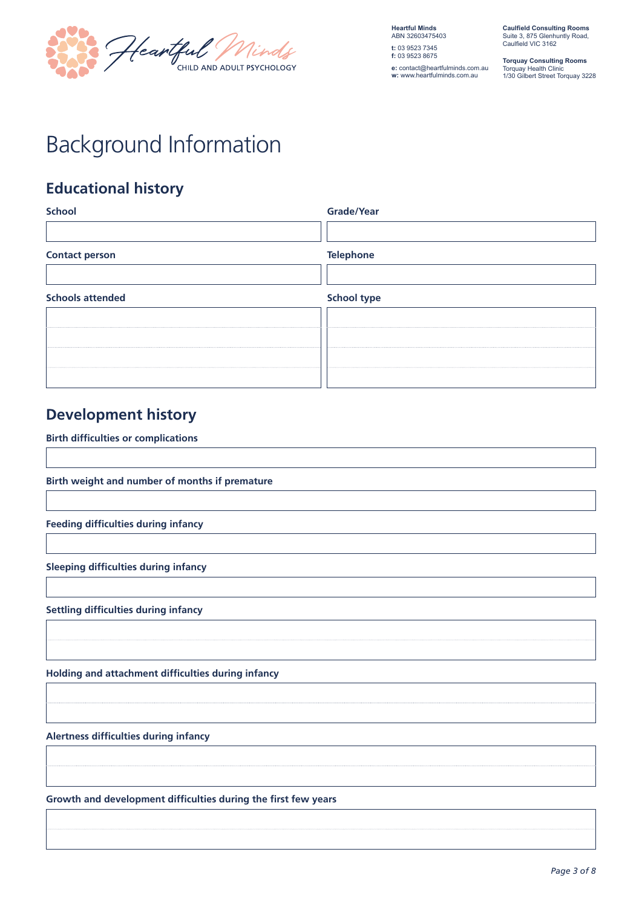

**e:** contact@heartfulminds.com.au **w:** www.heartfulminds.com.au

**Caulfield Consulting Rooms** Suite 3, 875 Glenhuntly Road, Caulfield VIC 3162

**Torquay Consulting Rooms** Torquay Health Clinic 1/30 Gilbert Street Torquay 3228

# Background Information

### **Educational history**

| Grade/Year         |
|--------------------|
|                    |
| <b>Telephone</b>   |
|                    |
| <b>School type</b> |
|                    |
|                    |
|                    |
|                    |
|                    |

## **Development history**

**Birth difficulties or complications**

**Birth weight and number of months if premature**

**Feeding difficulties during infancy**

**Sleeping difficulties during infancy**

**Settling difficulties during infancy**

**Holding and attachment difficulties during infancy**

**Alertness difficulties during infancy**

**Growth and development difficulties during the first few years**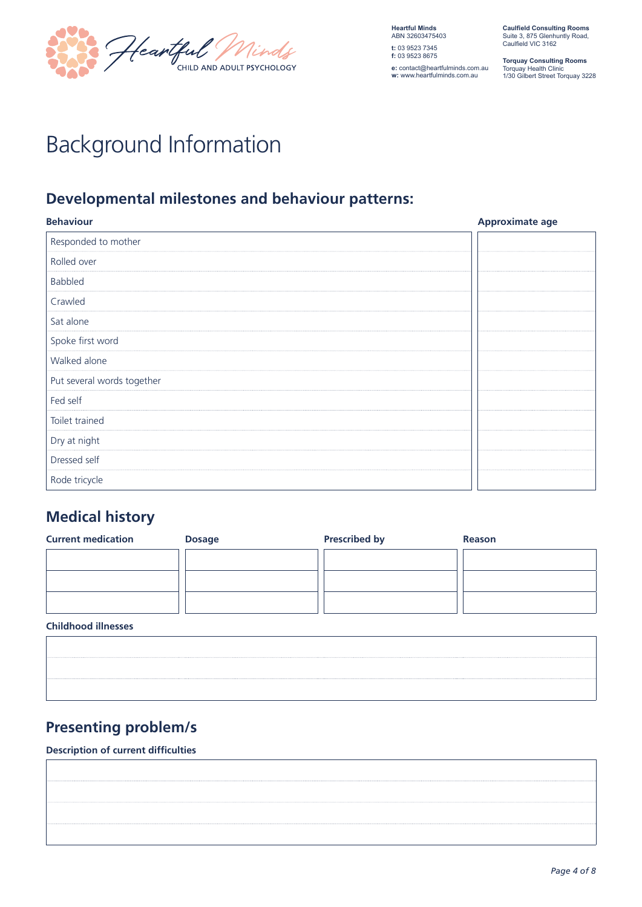

**Heartful Minds** ABN 32603475403 **t:** 03 9523 7345 **f:** 03 9523 8675 **e:** contact@heartfulminds.com.au **w:** www.heartfulminds.com.au

**Caulfield Consulting Rooms** Suite 3, 875 Glenhuntly Road, Caulfield VIC 3162

**Torquay Consulting Rooms** Torquay Health Clinic 1/30 Gilbert Street Torquay 3228

# Background Information

## **Developmental milestones and behaviour patterns:**

| <b>Behaviour</b>           | <b>Approximate age</b> |
|----------------------------|------------------------|
| Responded to mother        |                        |
| Rolled over                |                        |
| <b>Babbled</b>             |                        |
| Crawled                    |                        |
| Sat alone                  |                        |
| Spoke first word           |                        |
| Walked alone               |                        |
| Put several words together |                        |
| Fed self                   |                        |
| Toilet trained             |                        |
| Dry at night               |                        |
| Dressed self               |                        |
| Rode tricycle              |                        |

## **Medical history**

| <b>Current medication</b> | <b>Dosage</b> | <b>Prescribed by</b> | <b>Reason</b> |
|---------------------------|---------------|----------------------|---------------|
|                           |               |                      |               |
|                           |               |                      |               |
|                           |               |                      |               |
|                           |               |                      |               |

#### **Childhood illnesses**

## **Presenting problem/s**

#### **Description of current difficulties**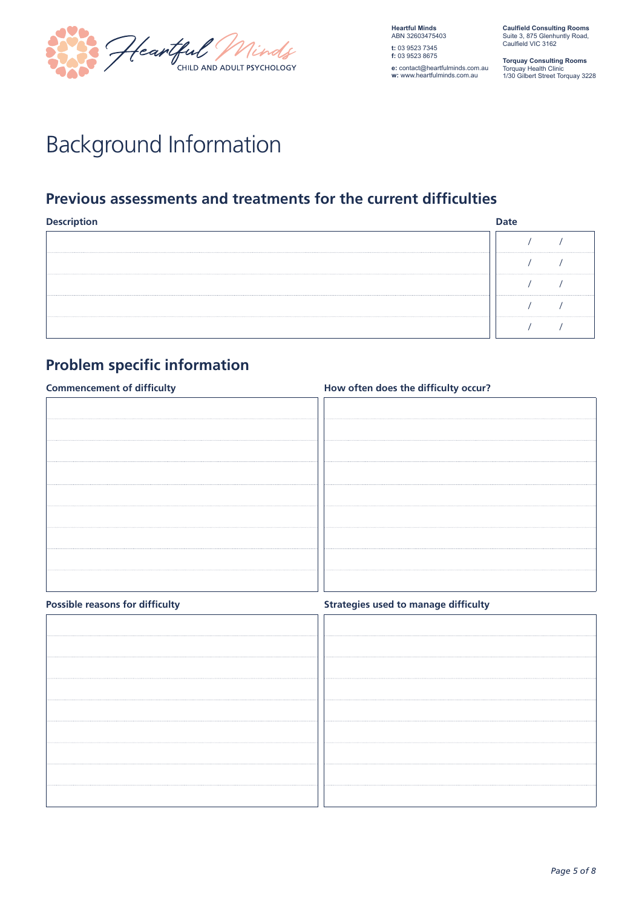

**Heartful Minds** ABN 32603475403 **t:** 03 9523 7345 **f:** 03 9523 8675 **e:** contact@heartfulminds.com.au **w:** www.heartfulminds.com.au

**Caulfield Consulting Rooms** Suite 3, 875 Glenhuntly Road, Caulfield VIC 3162

**Torquay Consulting Rooms** Torquay Health Clinic 1/30 Gilbert Street Torquay 3228

# Background Information

### **Previous assessments and treatments for the current difficulties**

| <b>Descrip</b><br>intion |  |
|--------------------------|--|
|                          |  |
|                          |  |
|                          |  |
|                          |  |
|                          |  |

## **Problem specific information**

| <b>Commencement of difficulty</b> | How often does the difficulty occur? |  |  |
|-----------------------------------|--------------------------------------|--|--|
|                                   |                                      |  |  |
|                                   |                                      |  |  |
|                                   |                                      |  |  |
|                                   |                                      |  |  |
|                                   |                                      |  |  |
|                                   |                                      |  |  |
|                                   |                                      |  |  |
|                                   |                                      |  |  |
|                                   |                                      |  |  |
|                                   |                                      |  |  |
|                                   |                                      |  |  |
|                                   |                                      |  |  |
|                                   |                                      |  |  |
|                                   |                                      |  |  |

|  |  |  | <b>Possible reasons for difficulty</b> |
|--|--|--|----------------------------------------|
|--|--|--|----------------------------------------|

**Strategies used to manage difficulty**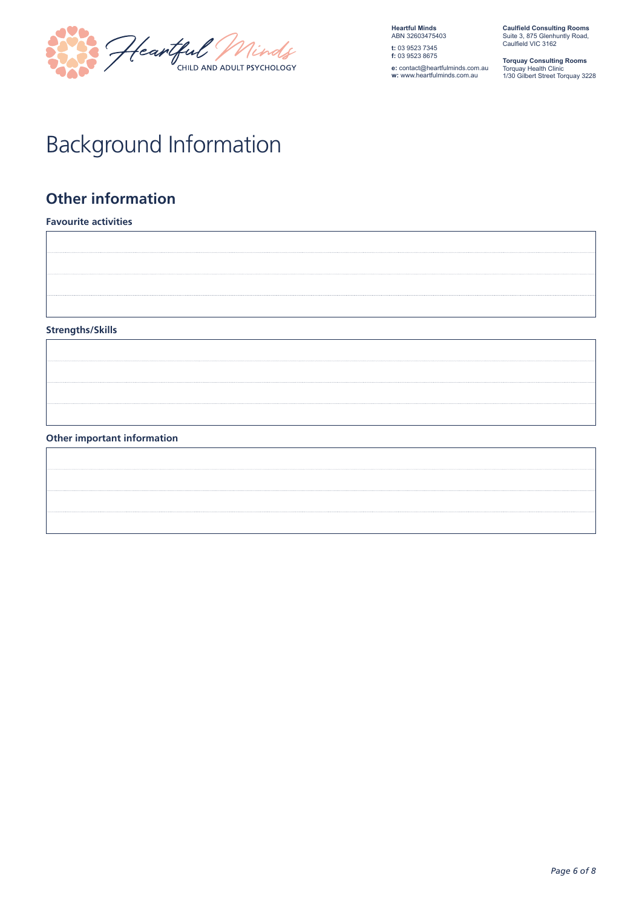

**e:** contact@heartfulminds.com.au **w:** www.heartfulminds.com.au

**Caulfield Consulting Rooms** Suite 3, 875 Glenhuntly Road, Caulfield VIC 3162

**Torquay Consulting Rooms** Torquay Health Clinic 1/30 Gilbert Street Torquay 3228

# Background Information

## **Other information**

**Favourite activities Strengths/Skills**

#### **Other important information**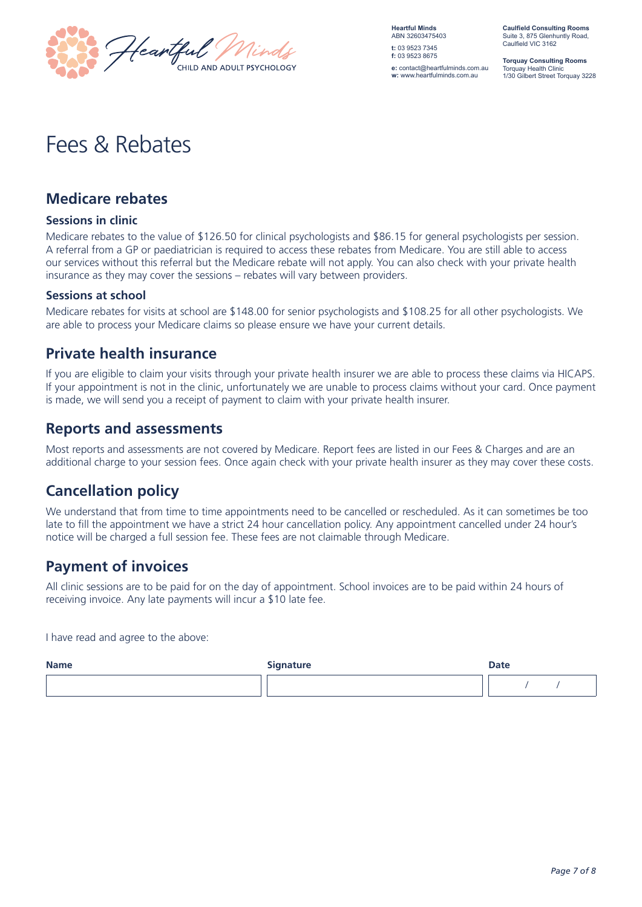

**Heartful Minds** ABN 32603475403 **t:** 03 9523 7345 **f:** 03 9523 8675 **e:** contact@heartfulminds.com.au

**w:** www.heartfulminds.com.au

**Caulfield Consulting Rooms** Suite 3, 875 Glenhuntly Road, Caulfield VIC 3162

**Torquay Consulting Rooms** Torquay Health Clinic 1/30 Gilbert Street Torquay 3228

## Fees & Rebates

#### **Medicare rebates**

#### **Sessions in clinic**

Medicare rebates to the value of \$126.50 for clinical psychologists and \$86.15 for general psychologists per session. A referral from a GP or paediatrician is required to access these rebates from Medicare. You are still able to access our services without this referral but the Medicare rebate will not apply. You can also check with your private health insurance as they may cover the sessions – rebates will vary between providers.

#### **Sessions at school**

Medicare rebates for visits at school are \$148.00 for senior psychologists and \$108.25 for all other psychologists. We are able to process your Medicare claims so please ensure we have your current details.

#### **Private health insurance**

If you are eligible to claim your visits through your private health insurer we are able to process these claims via HICAPS. If your appointment is not in the clinic, unfortunately we are unable to process claims without your card. Once payment is made, we will send you a receipt of payment to claim with your private health insurer.

#### **Reports and assessments**

Most reports and assessments are not covered by Medicare. Report fees are listed in our Fees & Charges and are an additional charge to your session fees. Once again check with your private health insurer as they may cover these costs.

### **Cancellation policy**

We understand that from time to time appointments need to be cancelled or rescheduled. As it can sometimes be too late to fill the appointment we have a strict 24 hour cancellation policy. Any appointment cancelled under 24 hour's notice will be charged a full session fee. These fees are not claimable through Medicare.

#### **Payment of invoices**

All clinic sessions are to be paid for on the day of appointment. School invoices are to be paid within 24 hours of receiving invoice. Any late payments will incur a \$10 late fee.

I have read and agree to the above:

| <b>Name</b> | <b>Signature</b> | <b>Date</b> |
|-------------|------------------|-------------|
|             |                  |             |